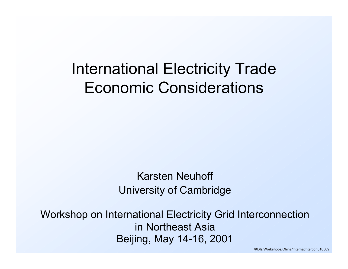# International Electricity Trade Economic Considerations

#### Karsten NeuhoffUniversity of Cambridge

Workshop on International Electricity Grid Interconnection in Northeast AsiaBeijing, May 14-16, 2001

/KDIs/ Workshops/ China/InternatIntercon010509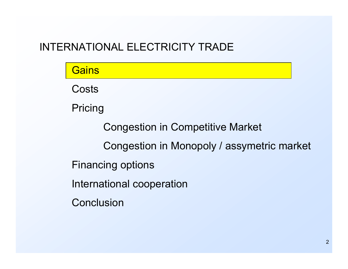| <b>Gains</b>                               |
|--------------------------------------------|
| Costs                                      |
| Pricing                                    |
| <b>Congestion in Competitive Market</b>    |
| Congestion in Monopoly / assymetric market |
| <b>Financing options</b>                   |
| International cooperation                  |
| Conclusion                                 |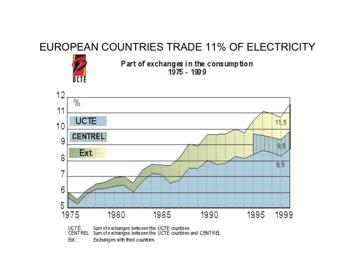#### EUROPEAN COUNTRIES TRADE 11% OF ELECTRICITY



Part of exchanges in the consumption  $1975 - 1999$ 



Exchanges with third countries Ed.: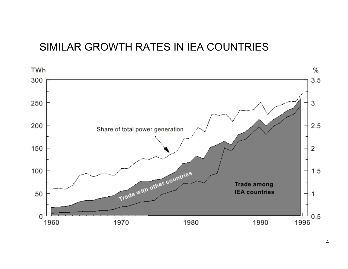#### SIMILAR GROWTH RATES IN IEA COUNTRIES

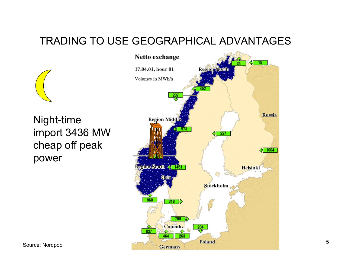## TRADING TO USE GEOGRAPHICAL ADVANTAGES

Night-time import 3436 MW cheap off peak power

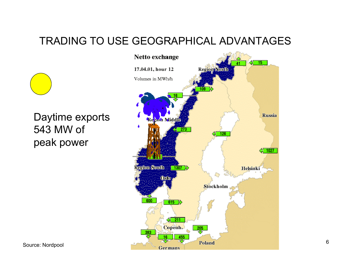## TRADING TO USE GEOGRAPHICAL ADVANTAGES

Daytime exports 543 MW of peak power



Source: Nordpool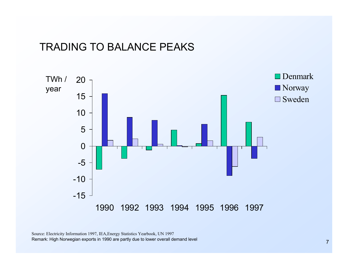#### TRADING TO BALANCE PEAKS



Source: Electricity Informatio n 1997, IEA,Energ y Statistics Yearbook, UN 1997 Remark: High Norwegian exports in 1990 are partly due to lower overall demand level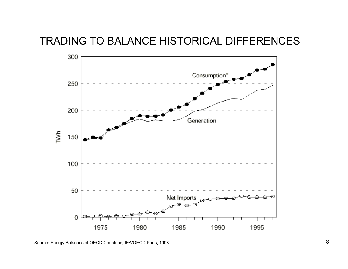TRADING TO BALANCE HISTORICAL DIFFERENCES

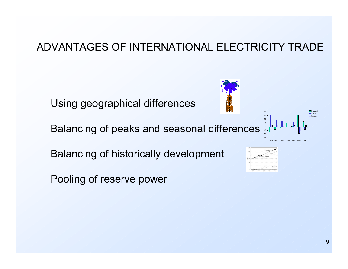#### ADVANTAGES OF INTERNATIONAL ELECTRICITY TRADE

Using geographical differences

Balancing of peaks and seasonal differences

Balancing of historically development

Pooling of reserve power



-1-15-551520

1990

1992 1993 1994 1995 1996 1997

DenmarkNorway Sweden

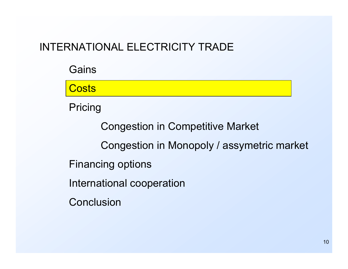**Gains Costs** Pricing Congestion in Competitive Market Congestion in Monopoly / assymetric market Financing options International cooperation **Conclusion**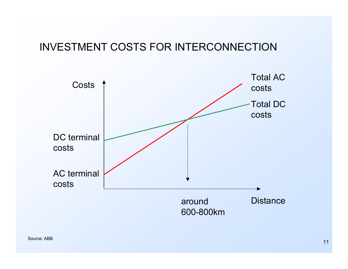#### INVESTMENT COSTS FOR INTERCONNECTION

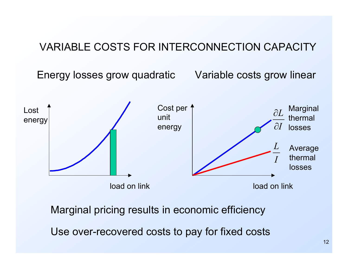#### VARIABLE COSTS FOR INTERCONNECTION CAPACITY

Energy losses grow quadratic

Variable costs grow linear



Marginal pricing results in economic efficiency

Use over-recovered costs to pay for fixed costs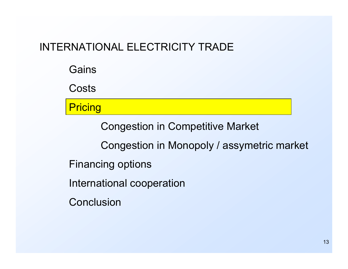**Gains** 

**Costs** 

**Pricing** 

Congestion in Competitive Market

Congestion in Monopoly / assymetric market

- Financing options
- International cooperation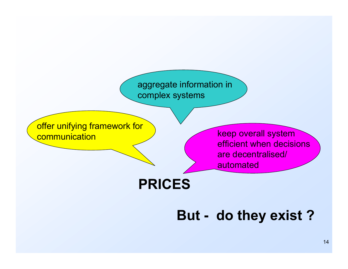aggregate information in complex systems

offer unifying framework for **communication** 

 keep overall system efficient when decisions are decentralised/ automated

**PRICES**

**But - do they exist ?**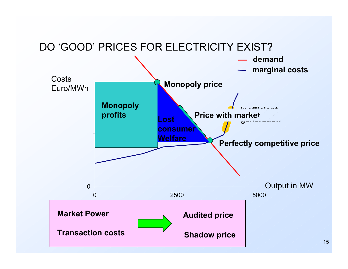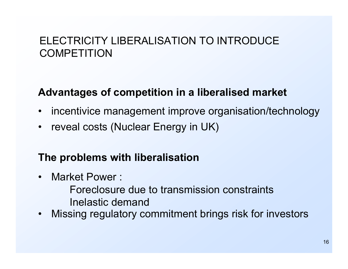## ELECTRICITY LIBERALISATION TO INTRODUCE **COMPETITION**

#### **Advantages of competition in a liberalised market**

- $\bullet$ incentivice management improve organisation/technology
- $\bullet$ reveal costs (Nuclear Energy in UK)

#### **The problems with liberalisation**

 $\bullet$ Market Power :

> Foreclosure due to transmission constraintsInelastic demand

 $\bullet$ Missing regulatory commitment brings risk for investors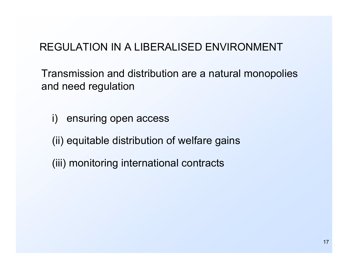## REGULATION IN A LIBERALISED ENVIRONMENT

Transmission and distribution are a natural monopolies and need regulation

i) ensuring open access

(ii) equitable distribution of welfare gains

(iii) monitoring international contracts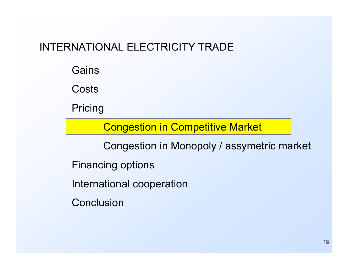**Gains** 

**Costs** 

Pricing

Congestion in Competitive Market

Congestion in Monopoly / assymetric market

Financing options

International cooperation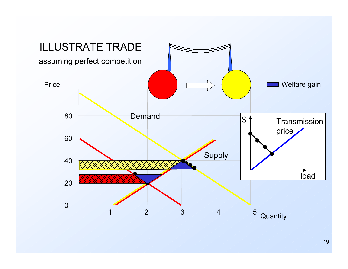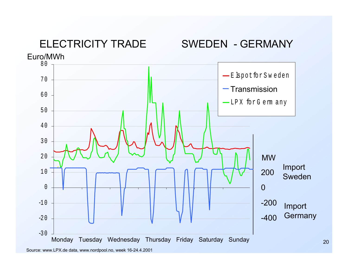

Source: www.LPX.de data, www.nordpool.no, week 16-24.4.2001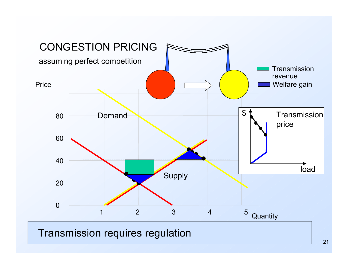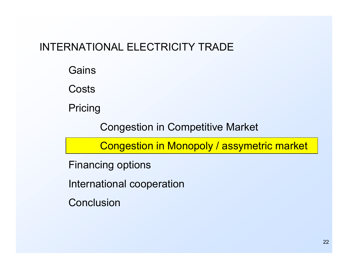**Gains** 

**Costs** 

Pricing

Congestion in Competitive Market

Congestion in Monopoly / assymetric market

Financing options

International cooperation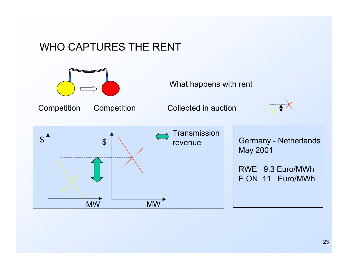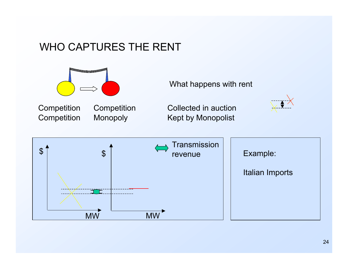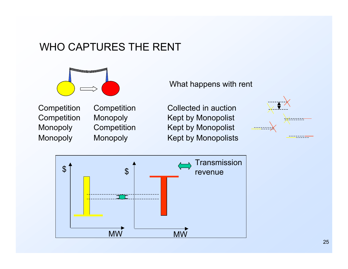

Monopol y **Competition** Competition Monopol y

Monopol y Monopoly Competition

#### What happens with rent

Competition Collected in auction Kept b y Monopolist Kept by Monopolist Kept b y Monopolists



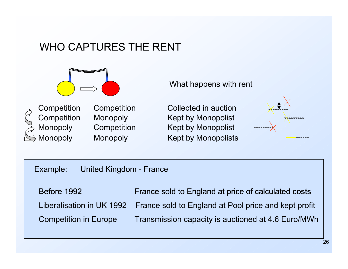





**Competition** Competition Monopol y Monopol y

Monopoly Competition Monopol y

Competition Collected in auction Kept b y Monopolist Kept by Monopolist Kept b y Monopolists



Example: United Kingdom - France

Before 1992 France sold to England at price of calculated costs **Competition in Europe** Transmission capacity is auctioned at 4.6 Euro/MWh Liberalisation in UK 1992 France sold to England at Pool price and kept profit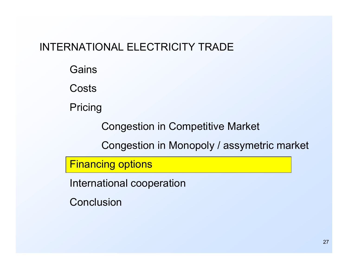**Gains** 

**Costs** 

Pricing

Congestion in Competitive Market

Congestion in Monopoly / assymetric market

Financing options

International cooperation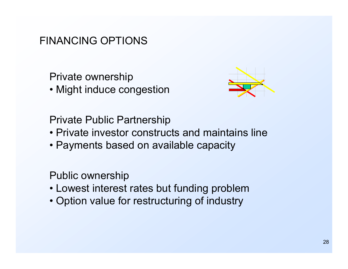#### FINANCING OPTIONS

Private ownership

• Might induce congestion



Private Public Partnership

- •Private investor constructs and maintains line
- Payments based on available capacity

Public ownership

- Lowest interest rates but funding problem
- Option value for restructuring of industry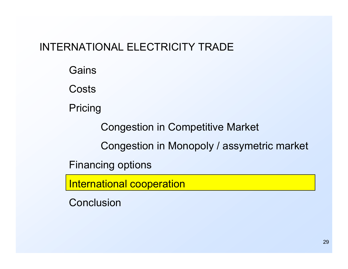**Gains** 

**Costs** 

Pricing

Congestion in Competitive Market

Congestion in Monopoly / assymetric market

Financing options

International cooperation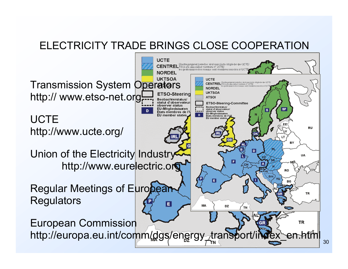#### ELECTRICITY TRADE BRINGS CLOSE COOPERATION **UCTE** CENTREL TSOs are associated manbers of LCTE/ les gestionnaires des réseaux sont membres **NORDEL UKTSOA** UCTE Transmission System Operators CENTREL <sup>Chestra pungsnet betreber sind associate Mitglieder der UCTE</sup> married on this paper, sent marchess seconds of **NORDEL UKTSOA** http:// www.etso-net.org **ETSO-Steering ATSOI Beobachterstatus/** statut d'observateur ETSO-Steering-Committee observer status **Beobachterstatus/ EU-Mitgliedstaaten**  $s_{F}$ statut d'observateur/ observer status Etats membres de l' EU-Mitgliedstaaten  $\overline{p}$ **EU** member state **UCTE** Etats membres de EU member sta RU http://www.ucte.org/ BY Union of the Electricity Industry UA F http://www.eurelectric.org RO П ВG Regular Meetings of European TR **Regulators** E **MA** DZ **TN** European Commission **TR** http://europa.eu.int/comm/dgs/energy\_transp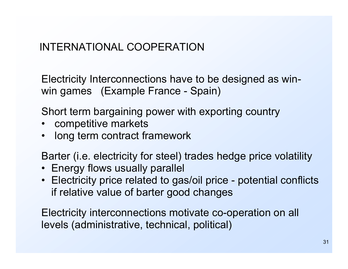## INTERNATIONAL COOPERATION

Electricity Interconnections have to be designed as winwin games (Ex ample France - Spain)

Short term bargaining power with exporting country

- •competitive markets
- $\bullet$ long term contract framework

Barter (i.e. electricity for steel) trades hedge price volatility

- Energy flows usually parallel
- Electricity price related to gas/oil price potential conflicts if relative v alue of barter good changes

Electricity interconnections motivate co-operation on all levels (administrative, technical, political)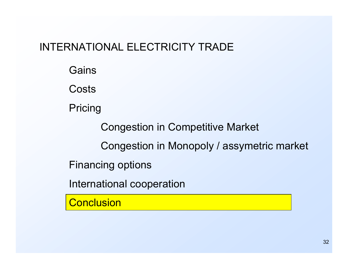**Gains** 

**Costs** 

Pricing

Congestion in Competitive Market

Congestion in Monopoly / assymetric market

Financing options

International cooperation